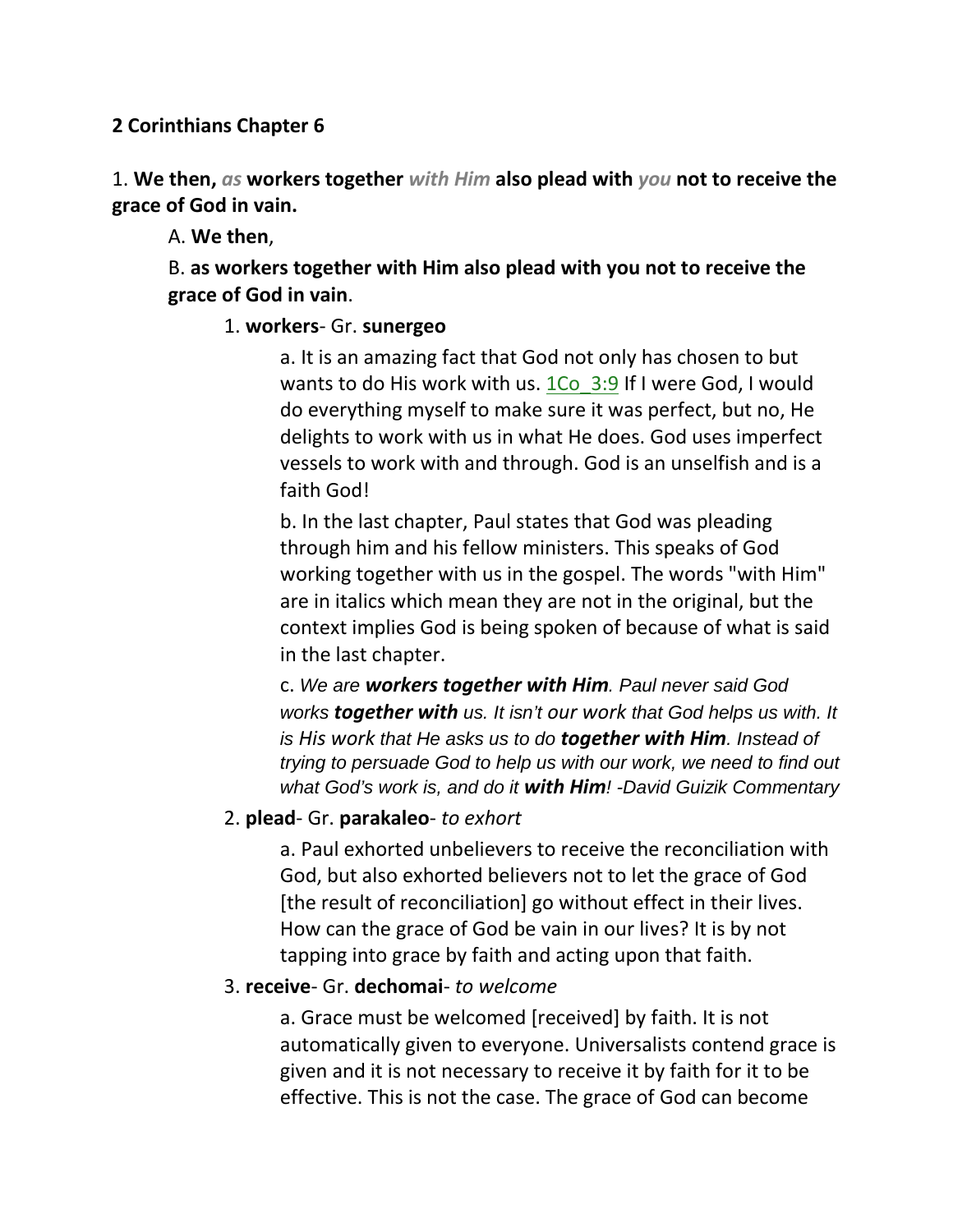### **2 Corinthians Chapter 6**

1. **We then,** *as* **workers together** *with Him* **also plead with** *you* **not to receive the grace of God in vain.** 

A. **We then**,

B. **as workers together with Him also plead with you not to receive the grace of God in vain**.

### 1. **workers**- Gr. **sunergeo**

a. It is an amazing fact that God not only has chosen to but wants to do His work with us.  $1\text{Co}$  3:9 If I were God, I would do everything myself to make sure it was perfect, but no, He delights to work with us in what He does. God uses imperfect vessels to work with and through. God is an unselfish and is a faith God!

b. In the last chapter, Paul states that God was pleading through him and his fellow ministers. This speaks of God working together with us in the gospel. The words "with Him" are in italics which mean they are not in the original, but the context implies God is being spoken of because of what is said in the last chapter.

c. *We are workers together with Him. Paul never said God works together with us. It isn't our work that God helps us with. It is His work that He asks us to do together with Him. Instead of trying to persuade God to help us with our work, we need to find out what God's work is, and do it with Him! -David Guizik Commentary*

### 2. **plead**- Gr. **parakaleo**- *to exhort*

a. Paul exhorted unbelievers to receive the reconciliation with God, but also exhorted believers not to let the grace of God [the result of reconciliation] go without effect in their lives. How can the grace of God be vain in our lives? It is by not tapping into grace by faith and acting upon that faith.

### 3. **receive**- Gr. **dechomai**- *to welcome*

a. Grace must be welcomed [received] by faith. It is not automatically given to everyone. Universalists contend grace is given and it is not necessary to receive it by faith for it to be effective. This is not the case. The grace of God can become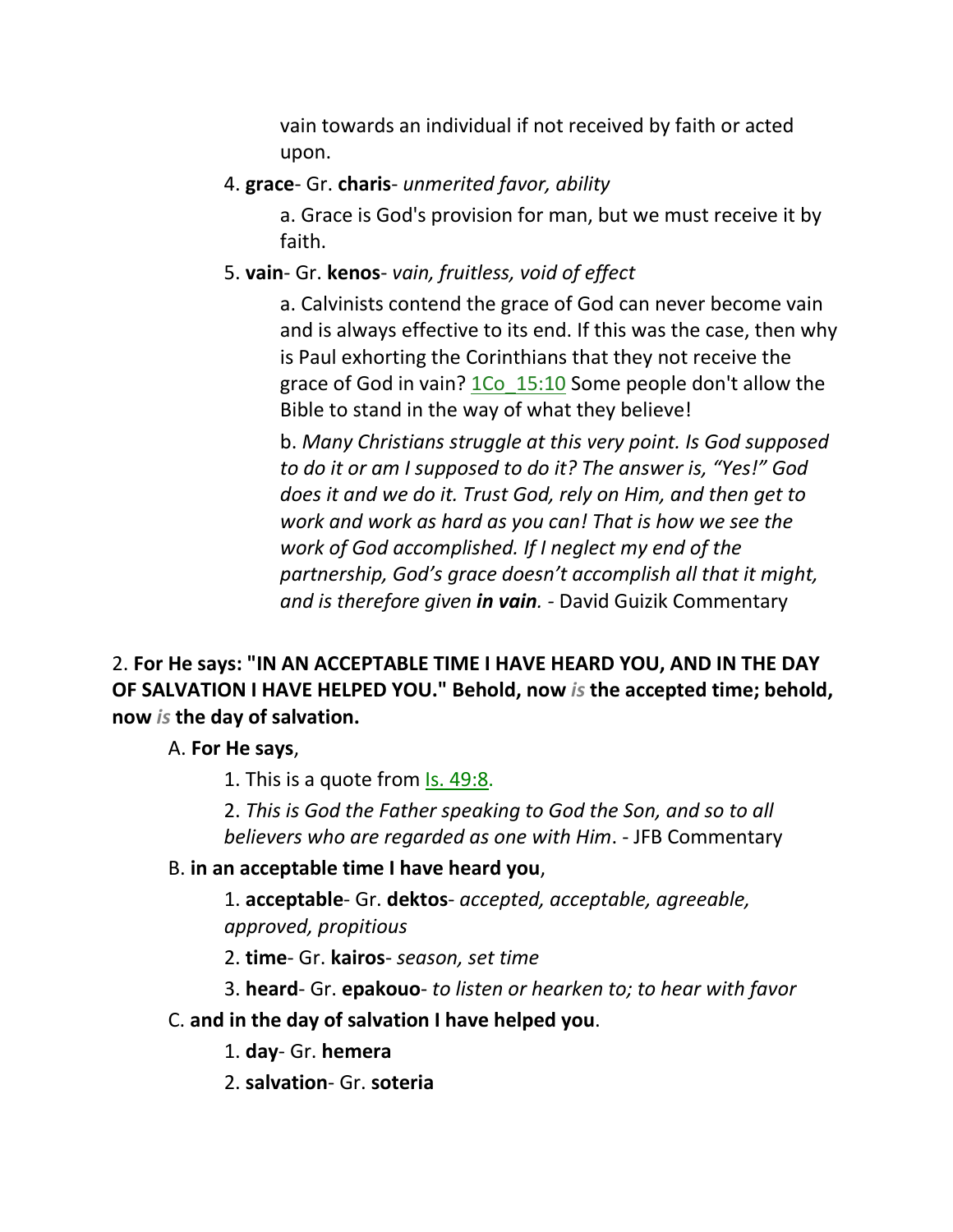vain towards an individual if not received by faith or acted upon.

# 4. **grace**- Gr. **charis**- *unmerited favor, ability*

a. Grace is God's provision for man, but we must receive it by faith.

# 5. **vain**- Gr. **kenos**- *vain, fruitless, void of effect*

a. Calvinists contend the grace of God can never become vain and is always effective to its end. If this was the case, then why is Paul exhorting the Corinthians that they not receive the grace of God in vain? 1Co\_15:10 Some people don't allow the Bible to stand in the way of what they believe!

b. *Many Christians struggle at this very point. Is God supposed to do it or am I supposed to do it? The answer is, "Yes!" God does it and we do it. Trust God, rely on Him, and then get to work and work as hard as you can! That is how we see the work of God accomplished. If I neglect my end of the partnership, God's grace doesn't accomplish all that it might, and is therefore given in vain. -* David Guizik Commentary

# 2. **For He says: "IN AN ACCEPTABLE TIME I HAVE HEARD YOU, AND IN THE DAY OF SALVATION I HAVE HELPED YOU." Behold, now** *is* **the accepted time; behold, now** *is* **the day of salvation.**

### A. **For He says**,

1. This is a quote from Is. 49:8.

2. *This is God the Father speaking to God the Son, and so to all believers who are regarded as one with Him*. - JFB Commentary

### B. **in an acceptable time I have heard you**,

1. **acceptable**- Gr. **dektos**- *accepted, acceptable, agreeable, approved, propitious*

2. **time**- Gr. **kairos**- *season, set time*

3. **heard**- Gr. **epakouo**- *to listen or hearken to; to hear with favor*

# C. **and in the day of salvation I have helped you**.

1. **day**- Gr. **hemera**

2. **salvation**- Gr. **soteria**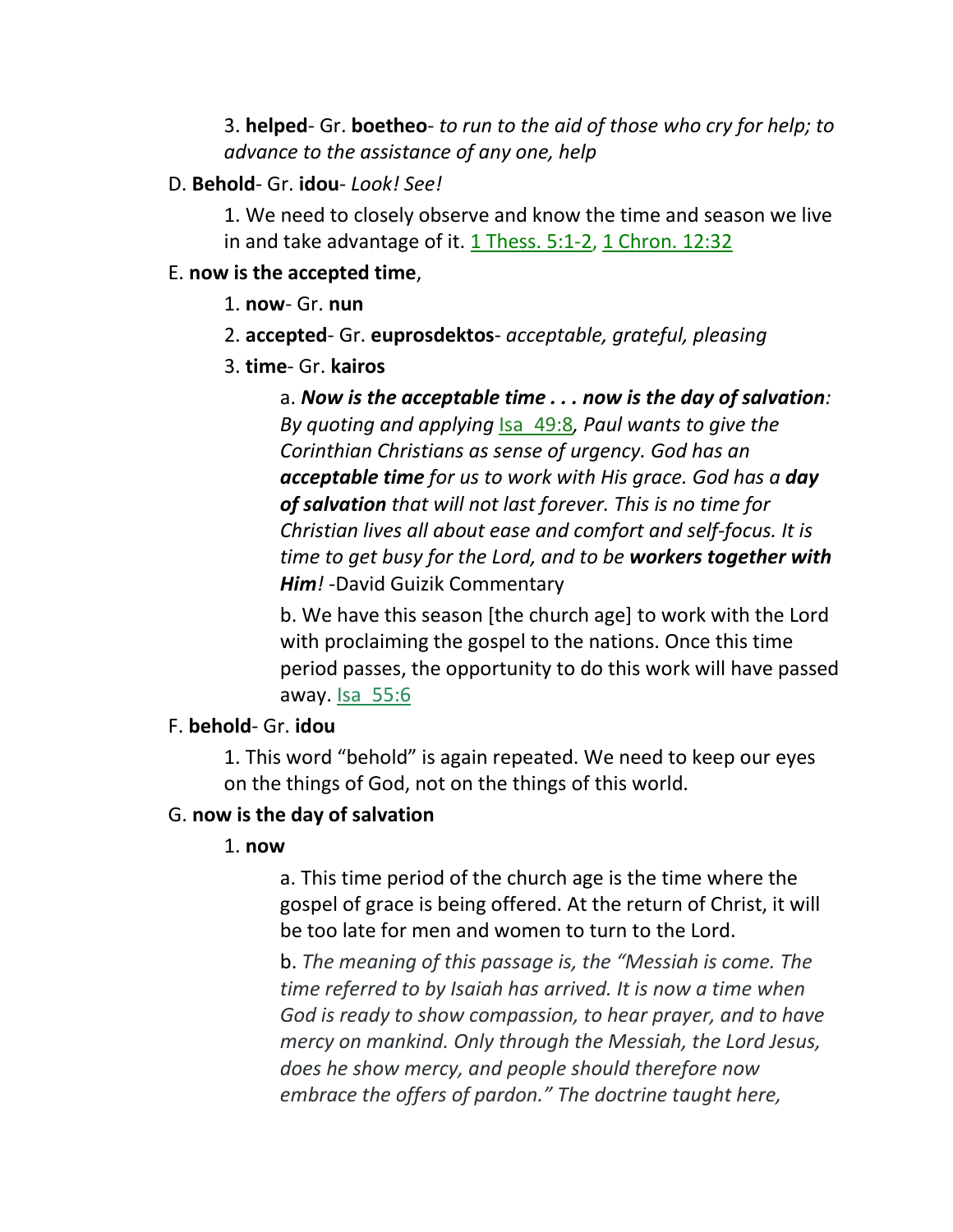3. **helped**- Gr. **boetheo**- *to run to the aid of those who cry for help; to advance to the assistance of any one, help*

#### D. **Behold**- Gr. **idou**- *Look! See!*

1. We need to closely observe and know the time and season we live in and take advantage of it.  $1$  Thess. 5:1-2, 1 Chron. 12:32

#### E. **now is the accepted time**,

- 1. **now** Gr. **nun**
- 2. **accepted** Gr. **euprosdektos** *acceptable, grateful, pleasing*
- 3. **time** Gr. **kairos**

a. *Now is the acceptable time . . . now is the day of salvation: By quoting and applying* Isa\_49:8*, Paul wants to give the Corinthian Christians as sense of urgency. God has an acceptable time for us to work with His grace. God has a day of salvation that will not last forever. This is no time for Christian lives all about ease and comfort and self-focus. It is time to get busy for the Lord, and to be workers together with Him! -*David Guizik Commentary

b. We have this season [the church age] to work with the Lord with proclaiming the gospel to the nations. Once this time period passes, the opportunity to do this work will have passed away. Isa\_55:6

#### F. **behold**- Gr. **idou**

1. This word "behold" is again repeated. We need to keep our eyes on the things of God, not on the things of this world.

#### G. **now is the day of salvation**

#### 1. **now**

a. This time period of the church age is the time where the gospel of grace is being offered. At the return of Christ, it will be too late for men and women to turn to the Lord.

b. *The meaning of this passage is, the "Messiah is come. The time referred to by Isaiah has arrived. It is now a time when God is ready to show compassion, to hear prayer, and to have mercy on mankind. Only through the Messiah, the Lord Jesus, does he show mercy, and people should therefore now embrace the offers of pardon." The doctrine taught here,*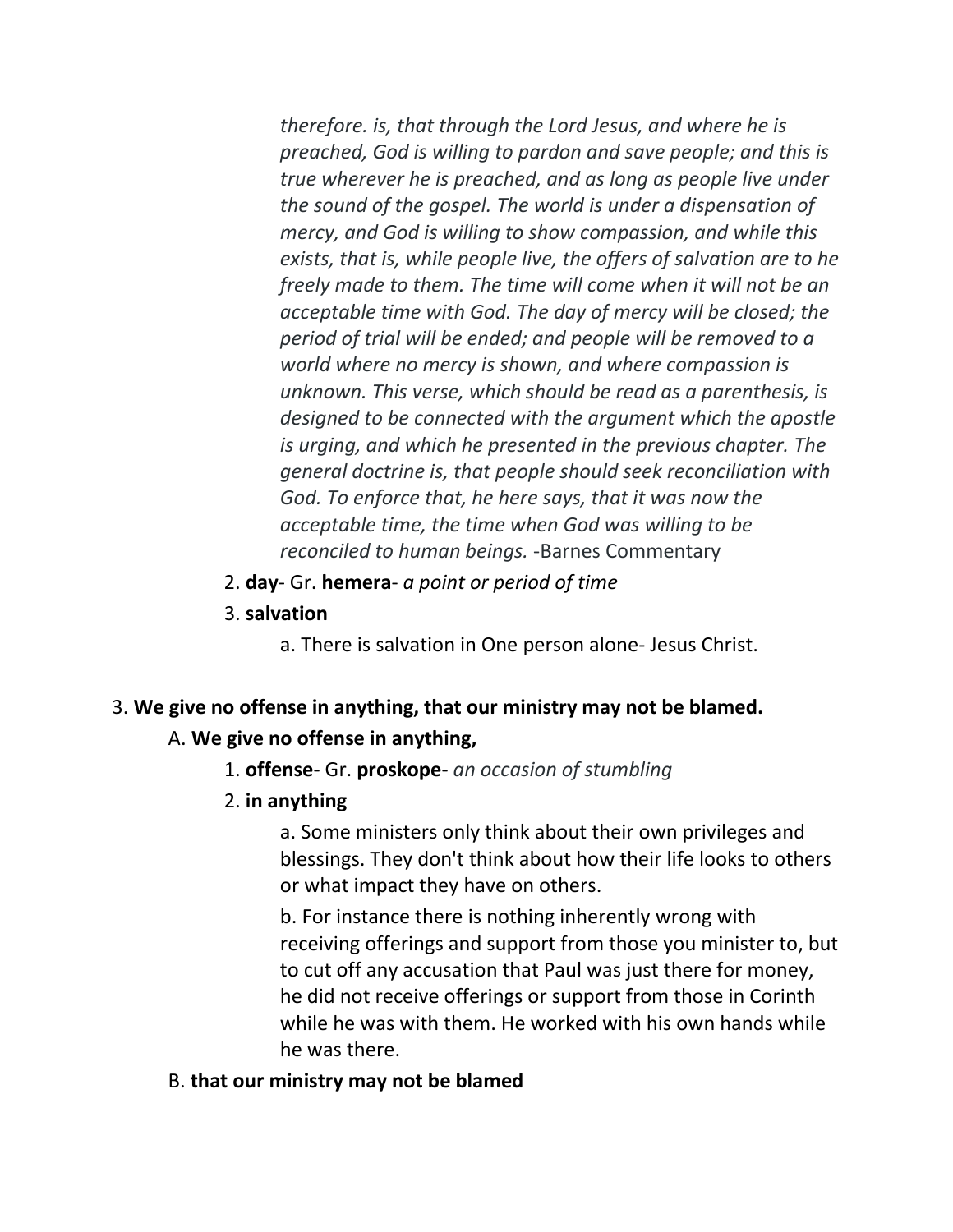*therefore. is, that through the Lord Jesus, and where he is preached, God is willing to pardon and save people; and this is true wherever he is preached, and as long as people live under the sound of the gospel. The world is under a dispensation of mercy, and God is willing to show compassion, and while this exists, that is, while people live, the offers of salvation are to he freely made to them. The time will come when it will not be an acceptable time with God. The day of mercy will be closed; the period of trial will be ended; and people will be removed to a world where no mercy is shown, and where compassion is unknown. This verse, which should be read as a parenthesis, is designed to be connected with the argument which the apostle is urging, and which he presented in the previous chapter. The general doctrine is, that people should seek reconciliation with God. To enforce that, he here says, that it was now the acceptable time, the time when God was willing to be reconciled to human beings.* -Barnes Commentary

- 2. **day** Gr. **hemera** *a point or period of time*
- 3. **salvation**

a. There is salvation in One person alone- Jesus Christ.

#### 3. **We give no offense in anything, that our ministry may not be blamed.**

### A. **We give no offense in anything,**

- 1. **offense** Gr. **proskope** *an occasion of stumbling*
- 2. **in anything**

a. Some ministers only think about their own privileges and blessings. They don't think about how their life looks to others or what impact they have on others.

b. For instance there is nothing inherently wrong with receiving offerings and support from those you minister to, but to cut off any accusation that Paul was just there for money, he did not receive offerings or support from those in Corinth while he was with them. He worked with his own hands while he was there.

#### B. **that our ministry may not be blamed**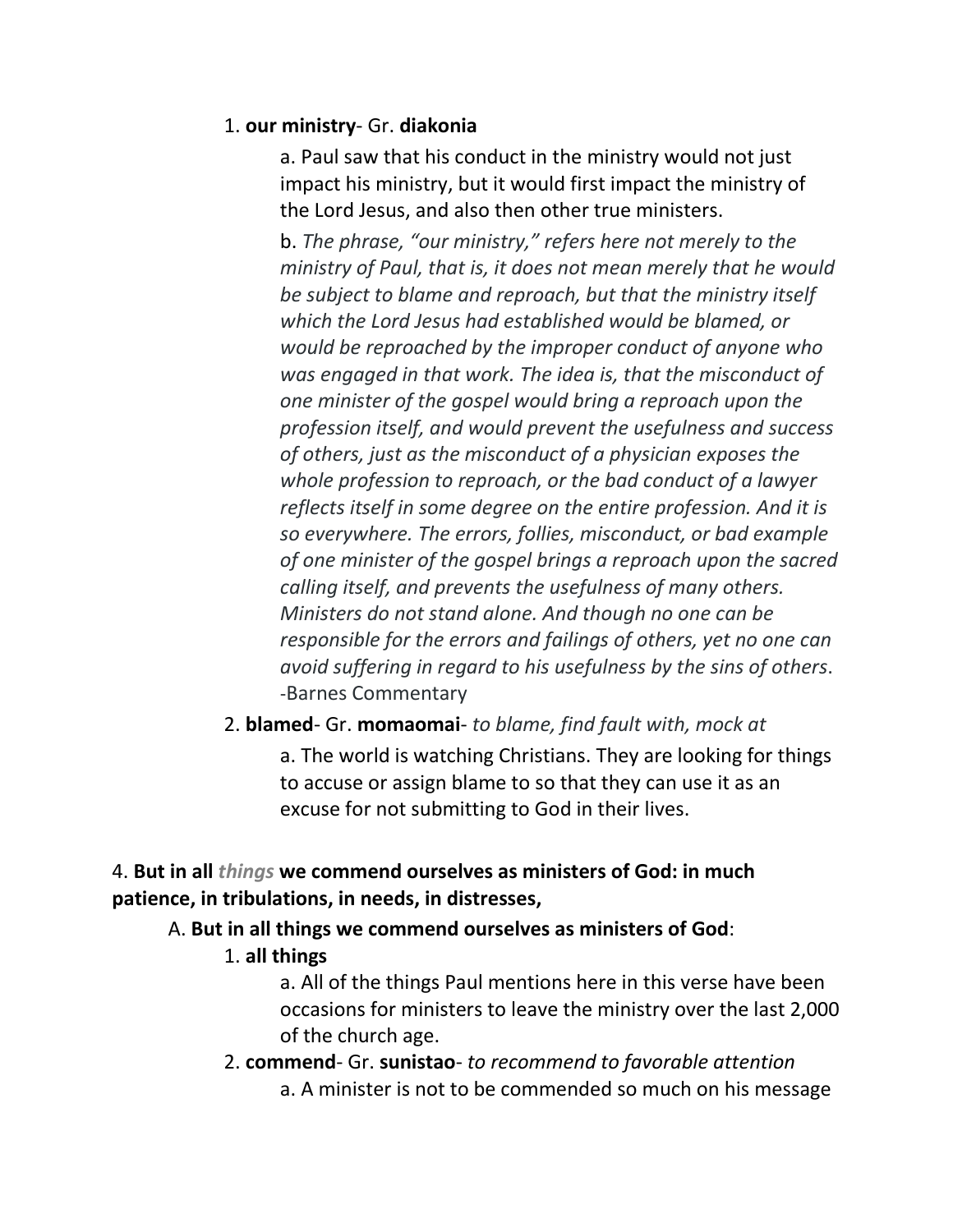### 1. **our ministry**- Gr. **diakonia**

a. Paul saw that his conduct in the ministry would not just impact his ministry, but it would first impact the ministry of the Lord Jesus, and also then other true ministers.

b. *The phrase, "our ministry," refers here not merely to the ministry of Paul, that is, it does not mean merely that he would be subject to blame and reproach, but that the ministry itself which the Lord Jesus had established would be blamed, or would be reproached by the improper conduct of anyone who was engaged in that work. The idea is, that the misconduct of one minister of the gospel would bring a reproach upon the profession itself, and would prevent the usefulness and success of others, just as the misconduct of a physician exposes the whole profession to reproach, or the bad conduct of a lawyer reflects itself in some degree on the entire profession. And it is so everywhere. The errors, follies, misconduct, or bad example of one minister of the gospel brings a reproach upon the sacred calling itself, and prevents the usefulness of many others. Ministers do not stand alone. And though no one can be responsible for the errors and failings of others, yet no one can avoid suffering in regard to his usefulness by the sins of others*. -Barnes Commentary

# 2. **blamed**- Gr. **momaomai**- *to blame, find fault with, mock at*

a. The world is watching Christians. They are looking for things to accuse or assign blame to so that they can use it as an excuse for not submitting to God in their lives.

# 4. **But in all** *things* **we commend ourselves as ministers of God: in much patience, in tribulations, in needs, in distresses,**

# A. **But in all things we commend ourselves as ministers of God**:

### 1. **all things**

a. All of the things Paul mentions here in this verse have been occasions for ministers to leave the ministry over the last 2,000 of the church age.

2. **commend**- Gr. **sunistao**- *to recommend to favorable attention* a. A minister is not to be commended so much on his message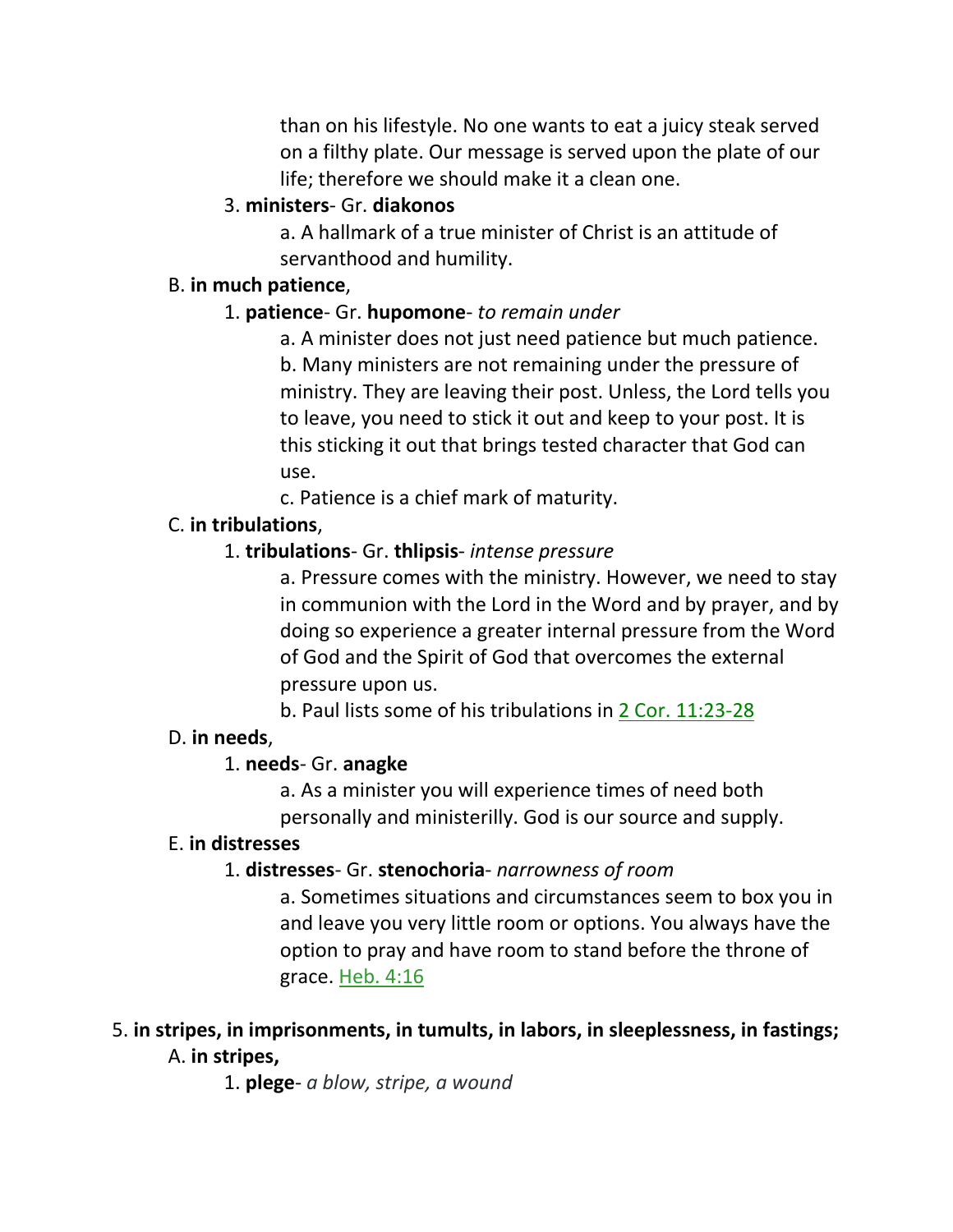than on his lifestyle. No one wants to eat a juicy steak served on a filthy plate. Our message is served upon the plate of our life; therefore we should make it a clean one.

# 3. **ministers**- Gr. **diakonos**

a. A hallmark of a true minister of Christ is an attitude of servanthood and humility.

### B. **in much patience**,

# 1. **patience**- Gr. **hupomone**- *to remain under*

a. A minister does not just need patience but much patience. b. Many ministers are not remaining under the pressure of ministry. They are leaving their post. Unless, the Lord tells you to leave, you need to stick it out and keep to your post. It is this sticking it out that brings tested character that God can use.

c. Patience is a chief mark of maturity.

# C. **in tribulations**,

# 1. **tribulations**- Gr. **thlipsis**- *intense pressure*

a. Pressure comes with the ministry. However, we need to stay in communion with the Lord in the Word and by prayer, and by doing so experience a greater internal pressure from the Word of God and the Spirit of God that overcomes the external pressure upon us.

b. Paul lists some of his tribulations in 2 Cor. 11:23-28

# D. **in needs**,

# 1. **needs**- Gr. **anagke**

a. As a minister you will experience times of need both personally and ministerilly. God is our source and supply.

# E. **in distresses**

# 1. **distresses**- Gr. **stenochoria**- *narrowness of room*

a. Sometimes situations and circumstances seem to box you in and leave you very little room or options. You always have the option to pray and have room to stand before the throne of grace. Heb. 4:16

# 5. **in stripes, in imprisonments, in tumults, in labors, in sleeplessness, in fastings;**  A. **in stripes,**

1. **plege**- *a blow, stripe, a wound*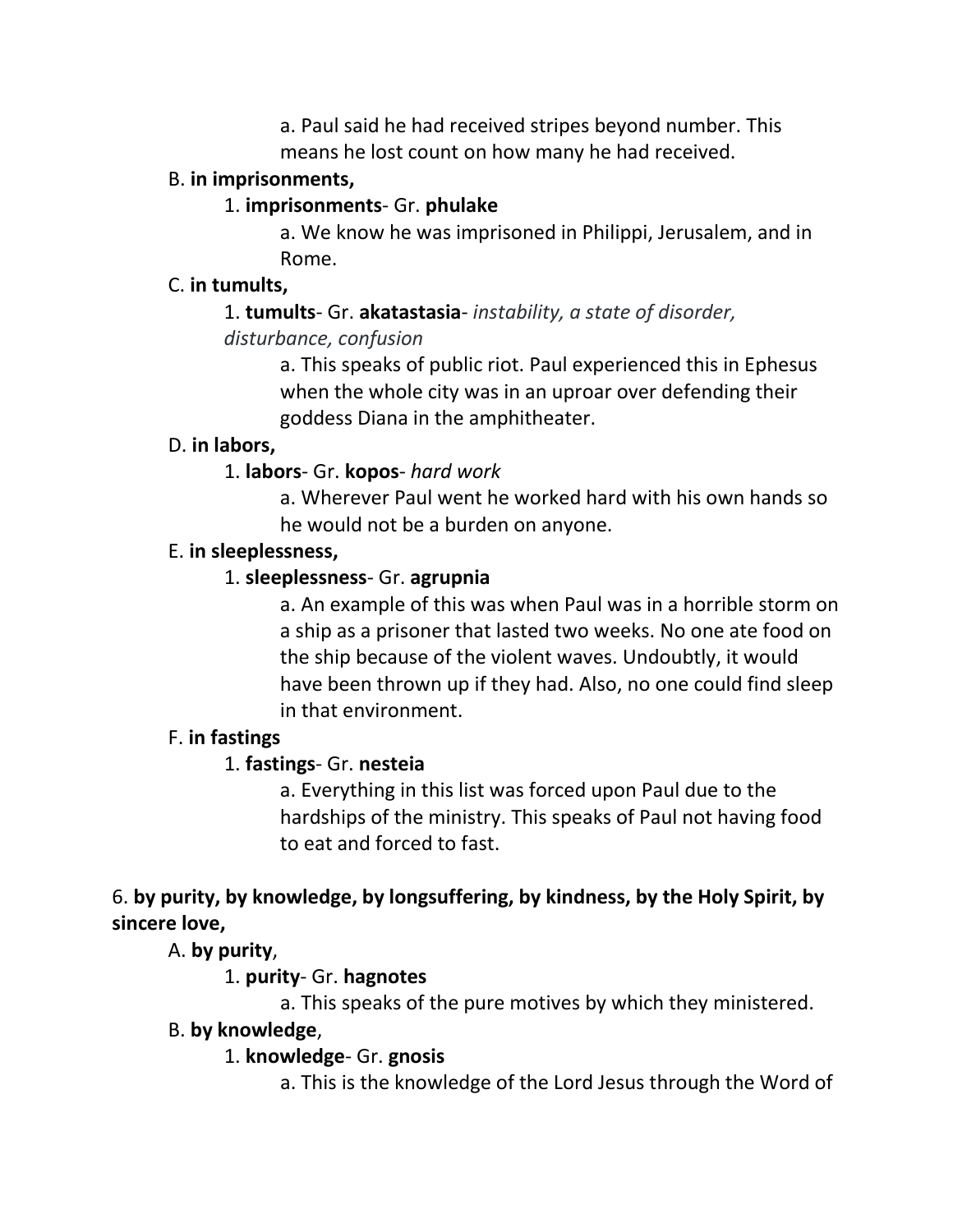a. Paul said he had received stripes beyond number. This means he lost count on how many he had received.

### B. **in imprisonments,**

### 1. **imprisonments**- Gr. **phulake**

a. We know he was imprisoned in Philippi, Jerusalem, and in Rome.

### C. **in tumults,**

### 1. **tumults**- Gr. **akatastasia**- *instability, a state of disorder, disturbance, confusion*

a. This speaks of public riot. Paul experienced this in Ephesus when the whole city was in an uproar over defending their goddess Diana in the amphitheater.

### D. **in labors,**

### 1. **labors**- Gr. **kopos**- *hard work*

a. Wherever Paul went he worked hard with his own hands so he would not be a burden on anyone.

### E. **in sleeplessness,**

# 1. **sleeplessness**- Gr. **agrupnia**

a. An example of this was when Paul was in a horrible storm on a ship as a prisoner that lasted two weeks. No one ate food on the ship because of the violent waves. Undoubtly, it would have been thrown up if they had. Also, no one could find sleep in that environment.

### F. **in fastings**

# 1. **fastings**- Gr. **nesteia**

a. Everything in this list was forced upon Paul due to the hardships of the ministry. This speaks of Paul not having food to eat and forced to fast.

# 6. **by purity, by knowledge, by longsuffering, by kindness, by the Holy Spirit, by sincere love,**

A. **by purity**,

### 1. **purity**- Gr. **hagnotes**

a. This speaks of the pure motives by which they ministered.

### B. **by knowledge**,

# 1. **knowledge**- Gr. **gnosis**

a. This is the knowledge of the Lord Jesus through the Word of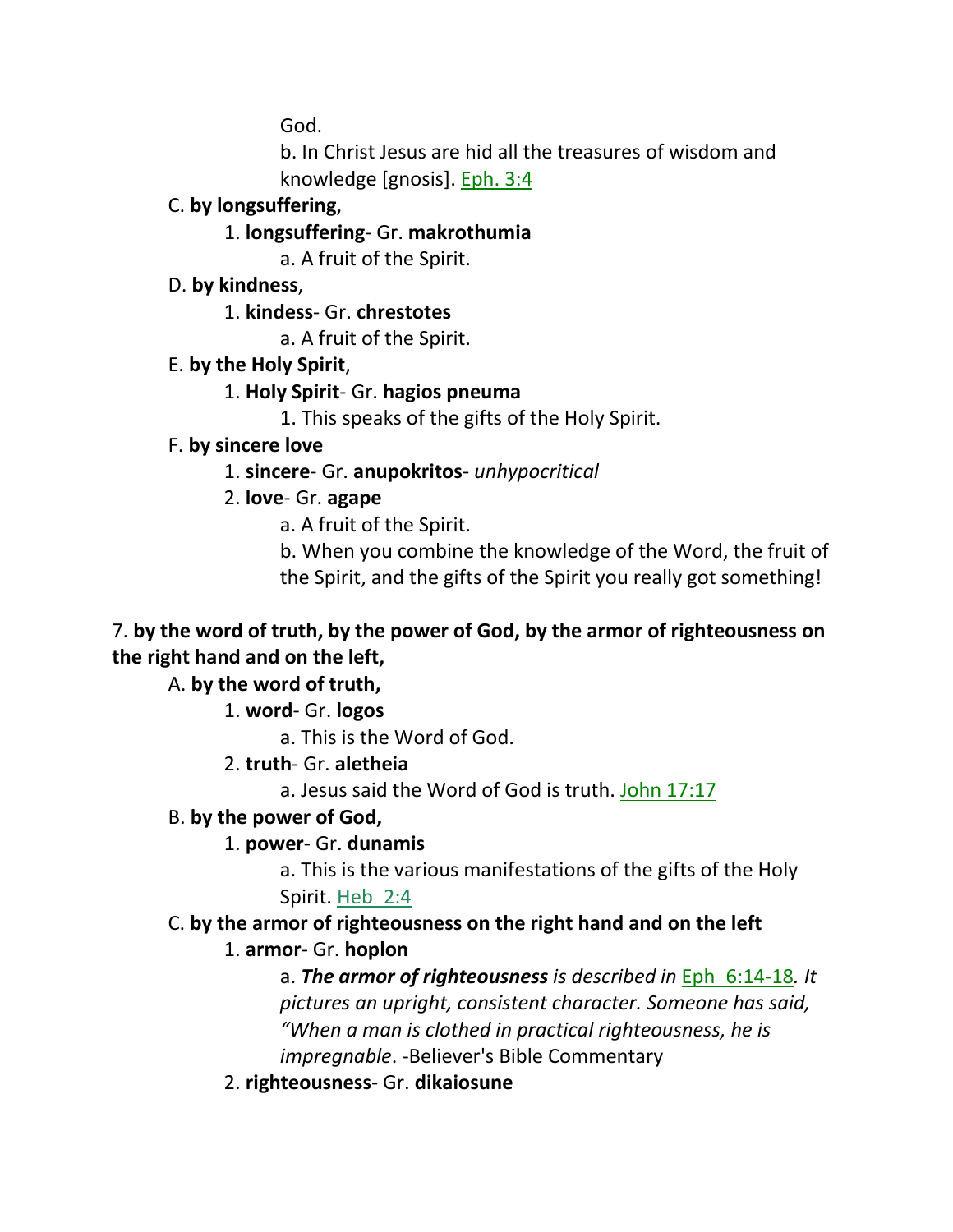God.

b. In Christ Jesus are hid all the treasures of wisdom and knowledge [gnosis]. Eph. 3:4

### C. **by longsuffering**,

1. **longsuffering**- Gr. **makrothumia**

a. A fruit of the Spirit.

D. **by kindness**,

1. **kindess**- Gr. **chrestotes**

a. A fruit of the Spirit.

# E. **by the Holy Spirit**,

### 1. **Holy Spirit**- Gr. **hagios pneuma**

1. This speaks of the gifts of the Holy Spirit.

### F. **by sincere love**

1. **sincere**- Gr. **anupokritos**- *unhypocritical*

# 2. **love**- Gr. **agape**

a. A fruit of the Spirit.

b. When you combine the knowledge of the Word, the fruit of the Spirit, and the gifts of the Spirit you really got something!

# 7. **by the word of truth, by the power of God, by the armor of righteousness on the right hand and on the left,**

# A. **by the word of truth,**

1. **word**- Gr. **logos**

a. This is the Word of God.

- 2. **truth** Gr. **aletheia**
	- a. Jesus said the Word of God is truth. John 17:17

# B. **by the power of God,**

# 1. **power**- Gr. **dunamis**

a. This is the various manifestations of the gifts of the Holy Spirit. Heb\_2:4

# C. **by the armor of righteousness on the right hand and on the left**

# 1. **armor**- Gr. **hoplon**

a. *The armor of righteousness is described in* Eph\_6:14-18*. It pictures an upright, consistent character. Someone has said, "When a man is clothed in practical righteousness, he is impregnable*. -Believer's Bible Commentary

2. **righteousness**- Gr. **dikaiosune**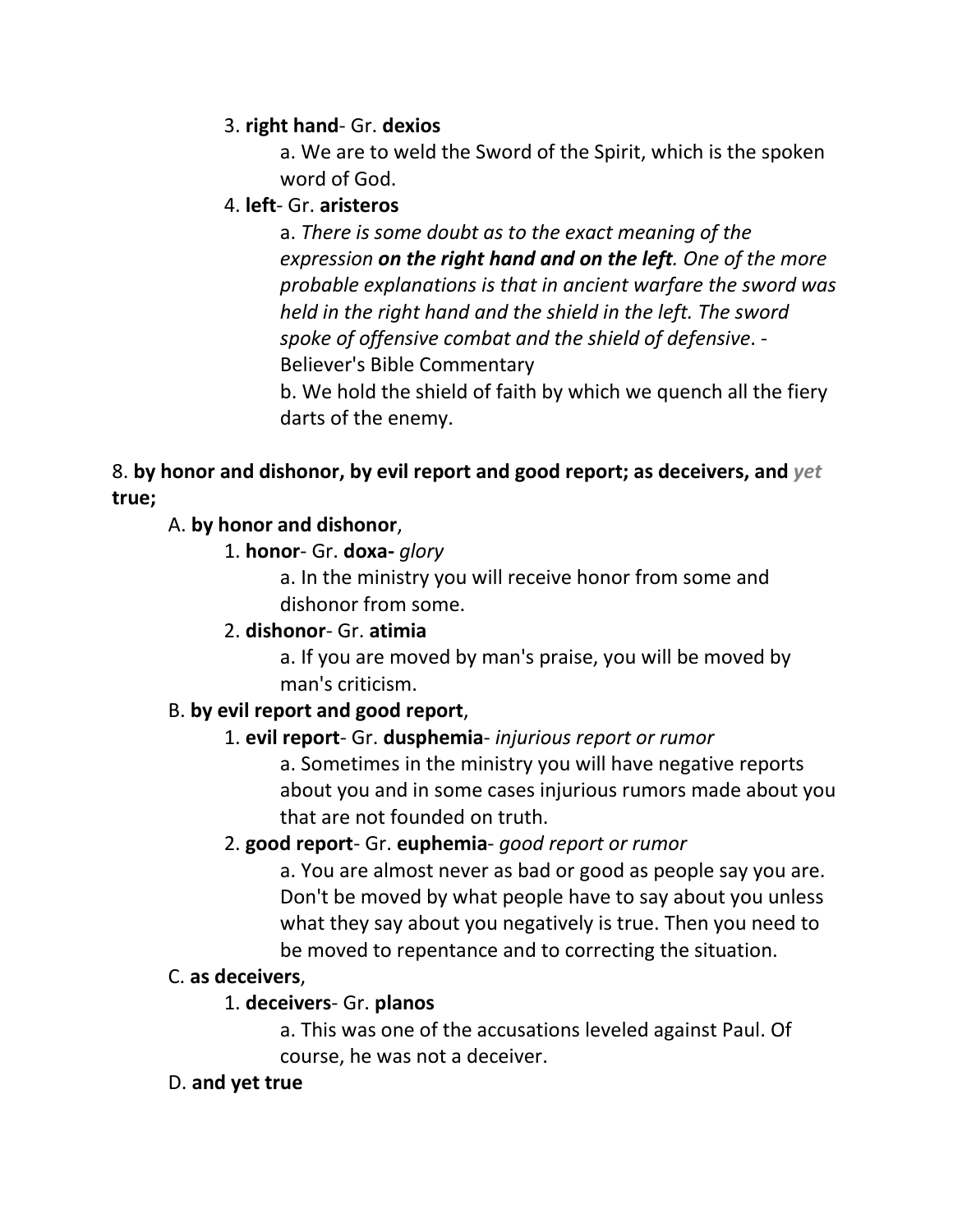## 3. **right hand**- Gr. **dexios**

a. We are to weld the Sword of the Spirit, which is the spoken word of God.

### 4. **left**- Gr. **aristeros**

a. *There is some doubt as to the exact meaning of the expression on the right hand and on the left. One of the more probable explanations is that in ancient warfare the sword was held in the right hand and the shield in the left. The sword spoke of offensive combat and the shield of defensive*. - Believer's Bible Commentary

b. We hold the shield of faith by which we quench all the fiery darts of the enemy.

# 8. **by honor and dishonor, by evil report and good report; as deceivers, and** *yet* **true;**

# A. **by honor and dishonor**,

### 1. **honor**- Gr. **doxa-** *glory*

a. In the ministry you will receive honor from some and dishonor from some.

# 2. **dishonor**- Gr. **atimia**

a. If you are moved by man's praise, you will be moved by man's criticism.

### B. **by evil report and good report**,

# 1. **evil report**- Gr. **dusphemia**- *injurious report or rumor*

a. Sometimes in the ministry you will have negative reports about you and in some cases injurious rumors made about you that are not founded on truth.

### 2. **good report**- Gr. **euphemia**- *good report or rumor*

a. You are almost never as bad or good as people say you are. Don't be moved by what people have to say about you unless what they say about you negatively is true. Then you need to be moved to repentance and to correcting the situation.

### C. **as deceivers**,

### 1. **deceivers**- Gr. **planos**

a. This was one of the accusations leveled against Paul. Of course, he was not a deceiver.

### D. **and yet true**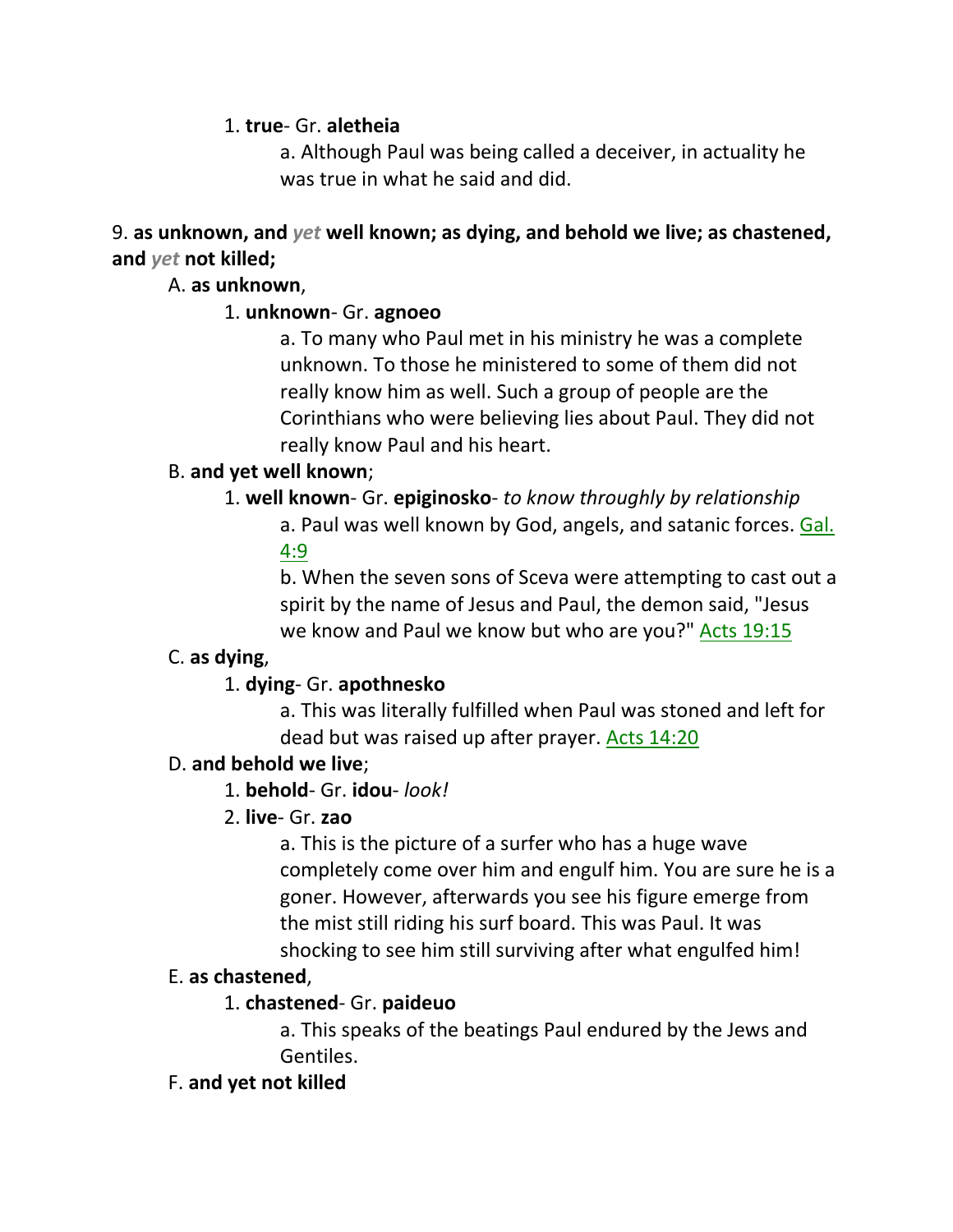1. **true**- Gr. **aletheia**

a. Although Paul was being called a deceiver, in actuality he was true in what he said and did.

9. **as unknown, and** *yet* **well known; as dying, and behold we live; as chastened, and** *yet* **not killed;**

# A. **as unknown**,

# 1. **unknown**- Gr. **agnoeo**

a. To many who Paul met in his ministry he was a complete unknown. To those he ministered to some of them did not really know him as well. Such a group of people are the Corinthians who were believing lies about Paul. They did not really know Paul and his heart.

# B. **and yet well known**;

# 1. **well known**- Gr. **epiginosko**- *to know throughly by relationship*

a. Paul was well known by God, angels, and satanic forces. Gal. 4:9

b. When the seven sons of Sceva were attempting to cast out a spirit by the name of Jesus and Paul, the demon said, "Jesus we know and Paul we know but who are you?" Acts 19:15

# C. **as dying**,

# 1. **dying**- Gr. **apothnesko**

a. This was literally fulfilled when Paul was stoned and left for dead but was raised up after prayer. Acts 14:20

# D. **and behold we live**;

1. **behold**- Gr. **idou**- *look!*

# 2. **live**- Gr. **zao**

a. This is the picture of a surfer who has a huge wave completely come over him and engulf him. You are sure he is a goner. However, afterwards you see his figure emerge from the mist still riding his surf board. This was Paul. It was shocking to see him still surviving after what engulfed him!

# E. **as chastened**,

# 1. **chastened**- Gr. **paideuo**

a. This speaks of the beatings Paul endured by the Jews and Gentiles.

# F. **and yet not killed**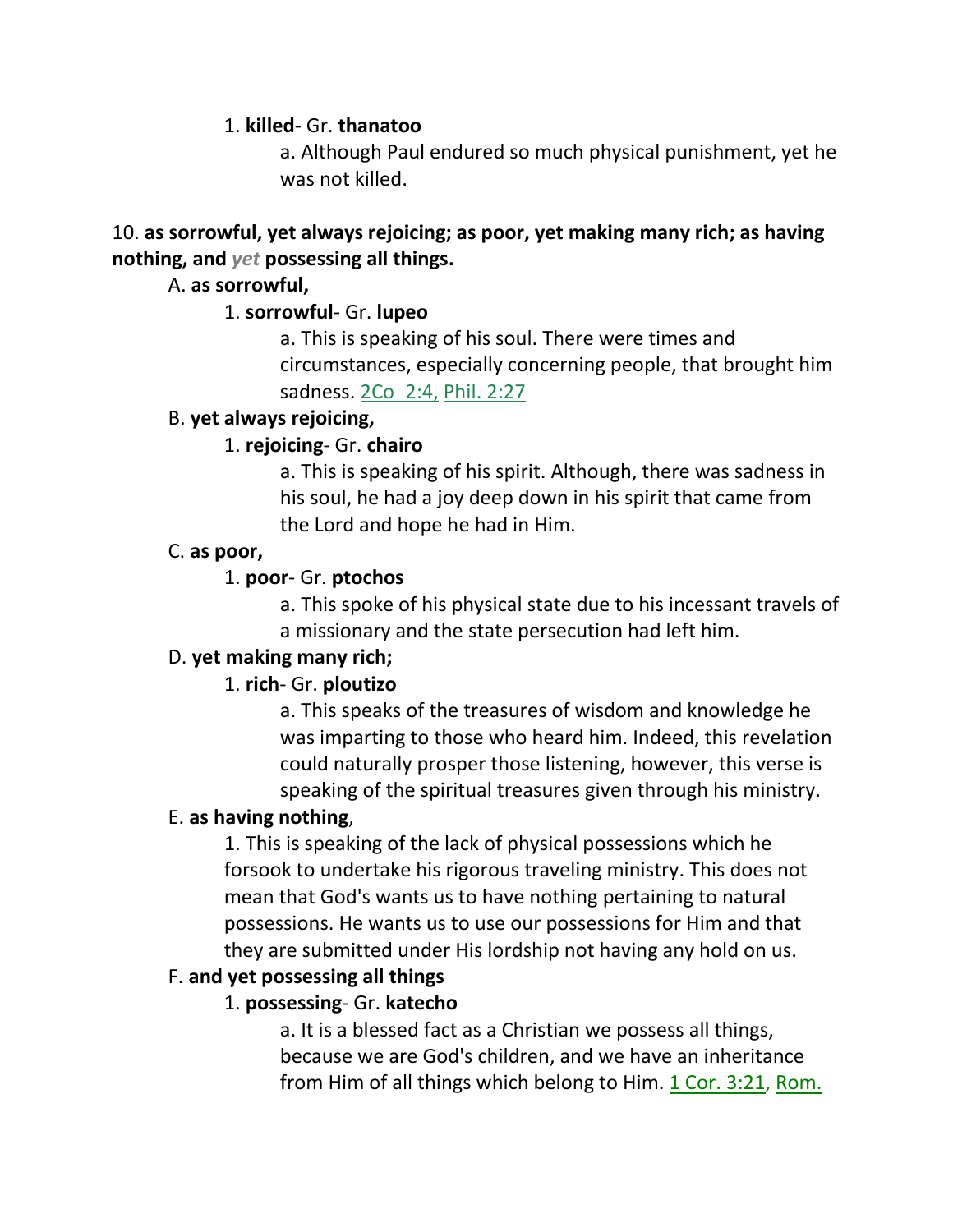1. **killed**- Gr. **thanatoo**

a. Although Paul endured so much physical punishment, yet he was not killed.

# 10. **as sorrowful, yet always rejoicing; as poor, yet making many rich; as having nothing, and** *yet* **possessing all things.**

# A. **as sorrowful,**

# 1. **sorrowful**- Gr. **lupeo**

a. This is speaking of his soul. There were times and circumstances, especially concerning people, that brought him sadness. 2Co\_2:4, Phil. 2:27

### B. **yet always rejoicing,**

# 1. **rejoicing**- Gr. **chairo**

a. This is speaking of his spirit. Although, there was sadness in his soul, he had a joy deep down in his spirit that came from the Lord and hope he had in Him.

### C. **as poor,**

# 1. **poor**- Gr. **ptochos**

a. This spoke of his physical state due to his incessant travels of a missionary and the state persecution had left him.

# D. **yet making many rich;**

# 1. **rich**- Gr. **ploutizo**

a. This speaks of the treasures of wisdom and knowledge he was imparting to those who heard him. Indeed, this revelation could naturally prosper those listening, however, this verse is speaking of the spiritual treasures given through his ministry.

### E. **as having nothing**,

1. This is speaking of the lack of physical possessions which he forsook to undertake his rigorous traveling ministry. This does not mean that God's wants us to have nothing pertaining to natural possessions. He wants us to use our possessions for Him and that they are submitted under His lordship not having any hold on us.

# F. **and yet possessing all things**

# 1. **possessing**- Gr. **katecho**

a. It is a blessed fact as a Christian we possess all things, because we are God's children, and we have an inheritance from Him of all things which belong to Him. 1 Cor. 3:21, Rom.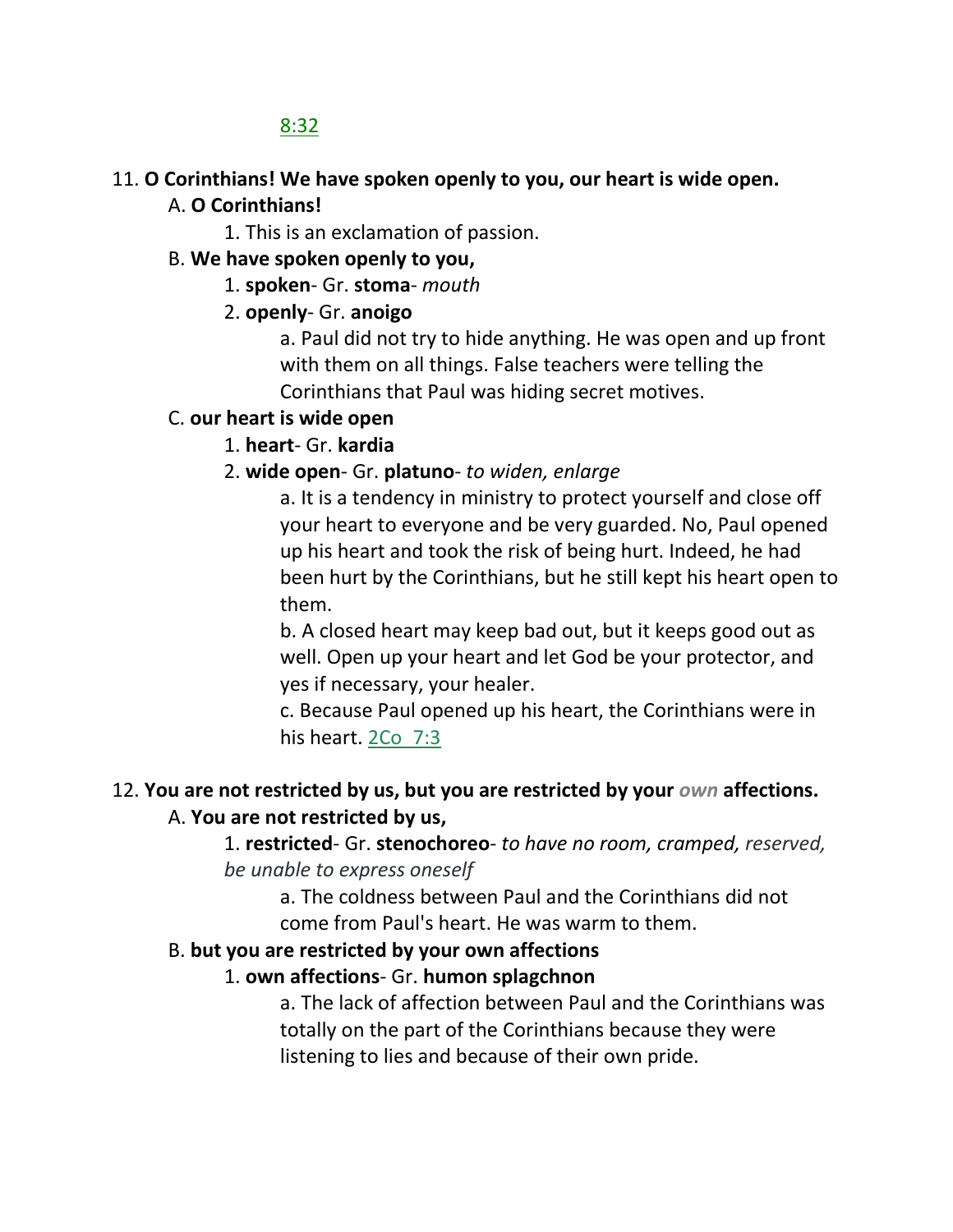# 8:32

### 11. **O Corinthians! We have spoken openly to you, our heart is wide open.**

### A. **O Corinthians!**

1. This is an exclamation of passion.

### B. **We have spoken openly to you,**

1. **spoken**- Gr. **stoma**- *mouth*

### 2. **openly**- Gr. **anoigo**

a. Paul did not try to hide anything. He was open and up front with them on all things. False teachers were telling the Corinthians that Paul was hiding secret motives.

### C. **our heart is wide open**

### 1. **heart**- Gr. **kardia**

### 2. **wide open**- Gr. **platuno**- *to widen, enlarge*

a. It is a tendency in ministry to protect yourself and close off your heart to everyone and be very guarded. No, Paul opened up his heart and took the risk of being hurt. Indeed, he had been hurt by the Corinthians, but he still kept his heart open to them.

b. A closed heart may keep bad out, but it keeps good out as well. Open up your heart and let God be your protector, and yes if necessary, your healer.

c. Because Paul opened up his heart, the Corinthians were in his heart. 2Co 7:3

# 12. **You are not restricted by us, but you are restricted by your** *own* **affections.**

### A. **You are not restricted by us,**

1. **restricted**- Gr. **stenochoreo**- *to have no room, cramped, reserved, be unable to express oneself*

a. The coldness between Paul and the Corinthians did not come from Paul's heart. He was warm to them.

### B. **but you are restricted by your own affections**

### 1. **own affections**- Gr. **humon splagchnon**

a. The lack of affection between Paul and the Corinthians was totally on the part of the Corinthians because they were listening to lies and because of their own pride.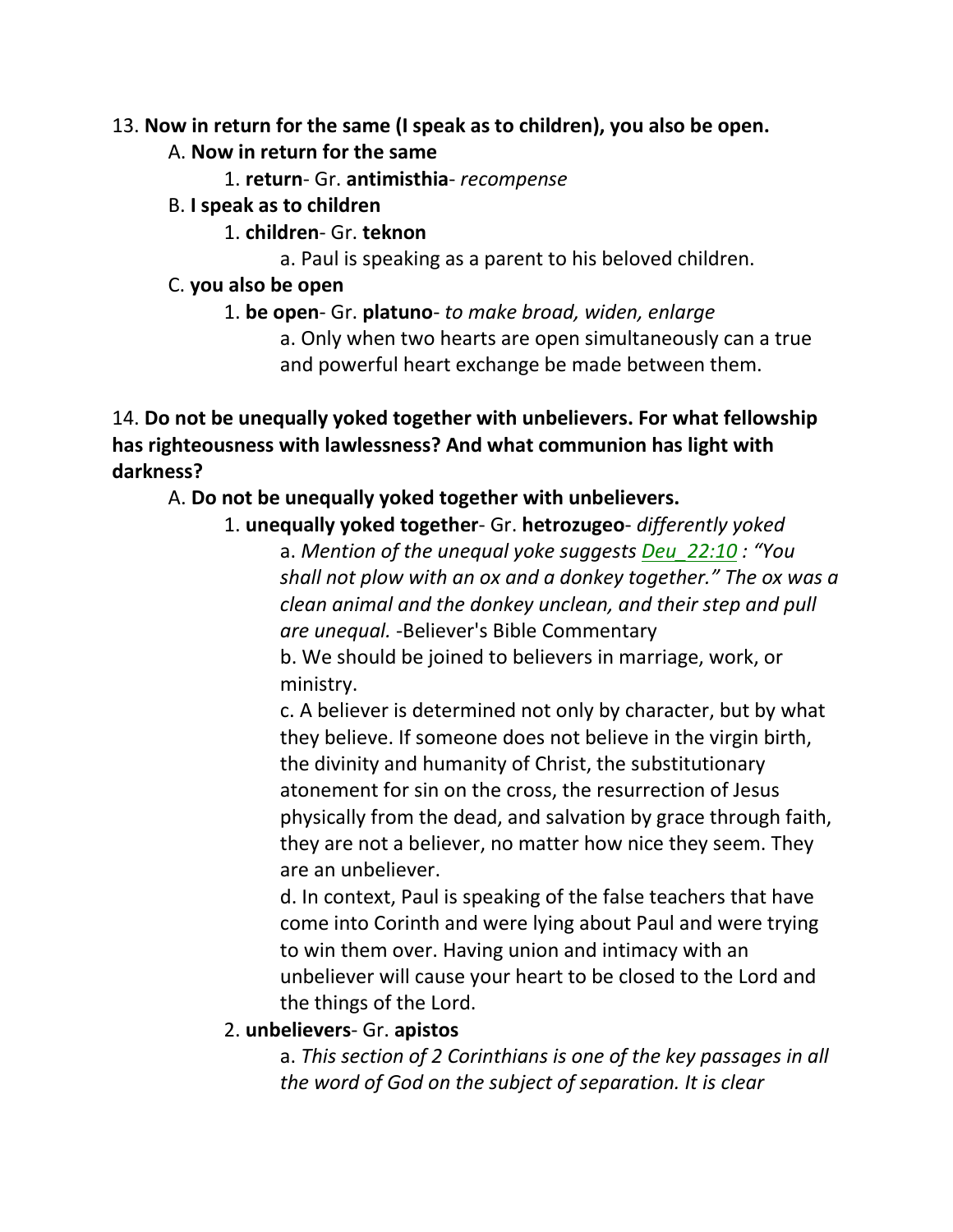### 13. **Now in return for the same (I speak as to children), you also be open.**

- A. **Now in return for the same**
	- 1. **return** Gr. **antimisthia** *recompense*
- B. **I speak as to children**
	- 1. **children** Gr. **teknon**
		- a. Paul is speaking as a parent to his beloved children.
- C. **you also be open**
	- 1. **be open** Gr. **platuno** *to make broad, widen, enlarge* a. Only when two hearts are open simultaneously can a true and powerful heart exchange be made between them.

14. **Do not be unequally yoked together with unbelievers. For what fellowship has righteousness with lawlessness? And what communion has light with darkness?**

# A. **Do not be unequally yoked together with unbelievers.**

1. **unequally yoked together**- Gr. **hetrozugeo**- *differently yoked* a. *Mention of the unequal yoke suggests Deu\_22:10 : "You shall not plow with an ox and a donkey together." The ox was a clean animal and the donkey unclean, and their step and pull are unequal.* -Believer's Bible Commentary b. We should be joined to believers in marriage, work, or ministry.

c. A believer is determined not only by character, but by what they believe. If someone does not believe in the virgin birth, the divinity and humanity of Christ, the substitutionary atonement for sin on the cross, the resurrection of Jesus physically from the dead, and salvation by grace through faith, they are not a believer, no matter how nice they seem. They are an unbeliever.

d. In context, Paul is speaking of the false teachers that have come into Corinth and were lying about Paul and were trying to win them over. Having union and intimacy with an unbeliever will cause your heart to be closed to the Lord and the things of the Lord.

2. **unbelievers**- Gr. **apistos**

a. *This section of 2 Corinthians is one of the key passages in all the word of God on the subject of separation. It is clear*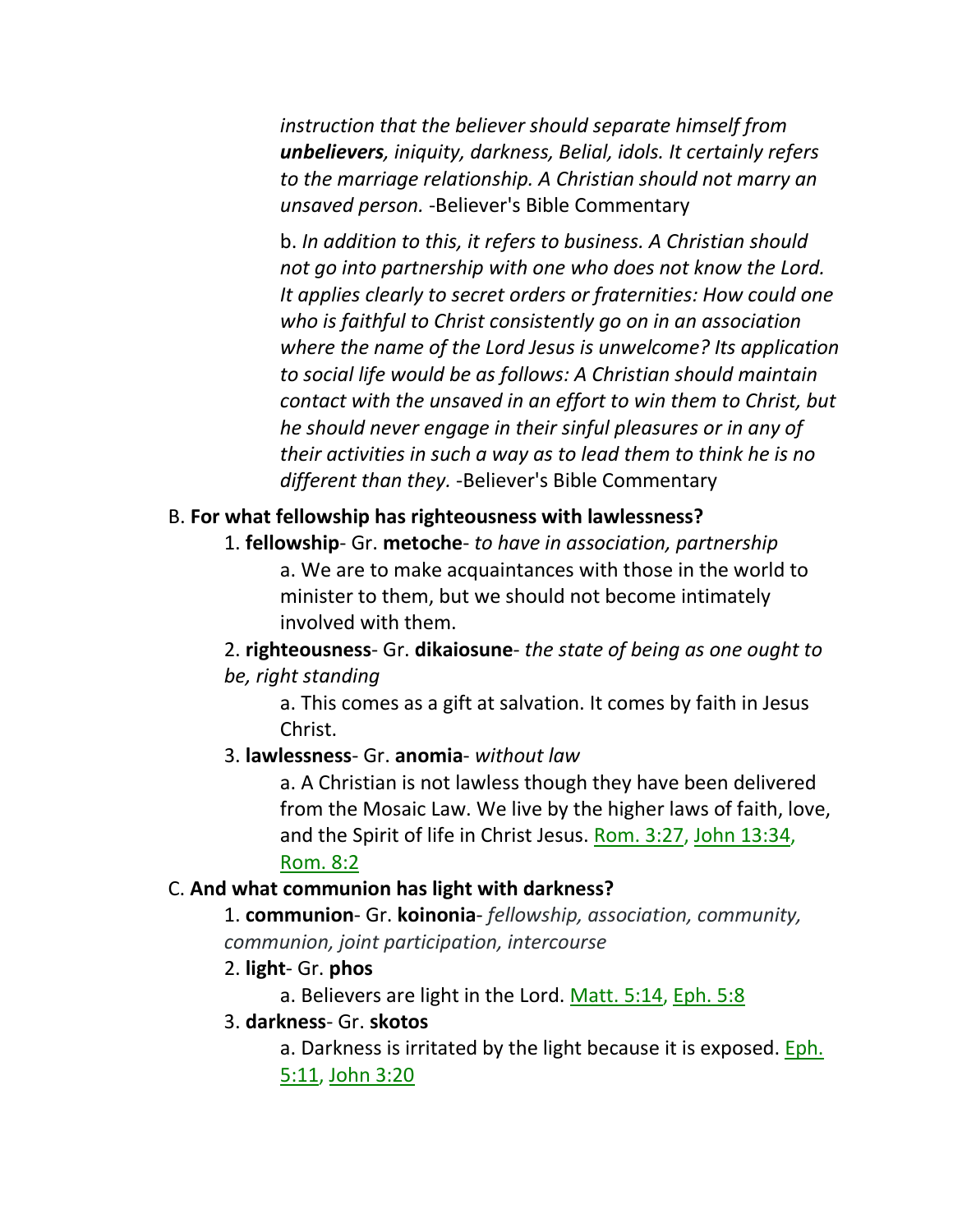*instruction that the believer should separate himself from unbelievers, iniquity, darkness, Belial, idols. It certainly refers to the marriage relationship. A Christian should not marry an unsaved person.* -Believer's Bible Commentary

b. *In addition to this, it refers to business. A Christian should not go into partnership with one who does not know the Lord. It applies clearly to secret orders or fraternities: How could one who is faithful to Christ consistently go on in an association where the name of the Lord Jesus is unwelcome? Its application to social life would be as follows: A Christian should maintain contact with the unsaved in an effort to win them to Christ, but he should never engage in their sinful pleasures or in any of their activities in such a way as to lead them to think he is no different than they.* -Believer's Bible Commentary

#### B. **For what fellowship has righteousness with lawlessness?**

1. **fellowship**- Gr. **metoche**- *to have in association, partnership* a. We are to make acquaintances with those in the world to minister to them, but we should not become intimately involved with them.

2. **righteousness**- Gr. **dikaiosune**- *the state of being as one ought to be, right standing*

a. This comes as a gift at salvation. It comes by faith in Jesus Christ.

#### 3. **lawlessness**- Gr. **anomia**- *without law*

a. A Christian is not lawless though they have been delivered from the Mosaic Law. We live by the higher laws of faith, love, and the Spirit of life in Christ Jesus. Rom. 3:27, John 13:34,

### Rom. 8:2

### C. **And what communion has light with darkness?**

1. **communion**- Gr. **koinonia**- *fellowship, association, community, communion, joint participation, intercourse*

- 2. **light** Gr. **phos**
	- a. Believers are light in the Lord. Matt. 5:14, Eph. 5:8
- 3. **darkness** Gr. **skotos**

a. Darkness is irritated by the light because it is exposed. Eph. 5:11, John 3:20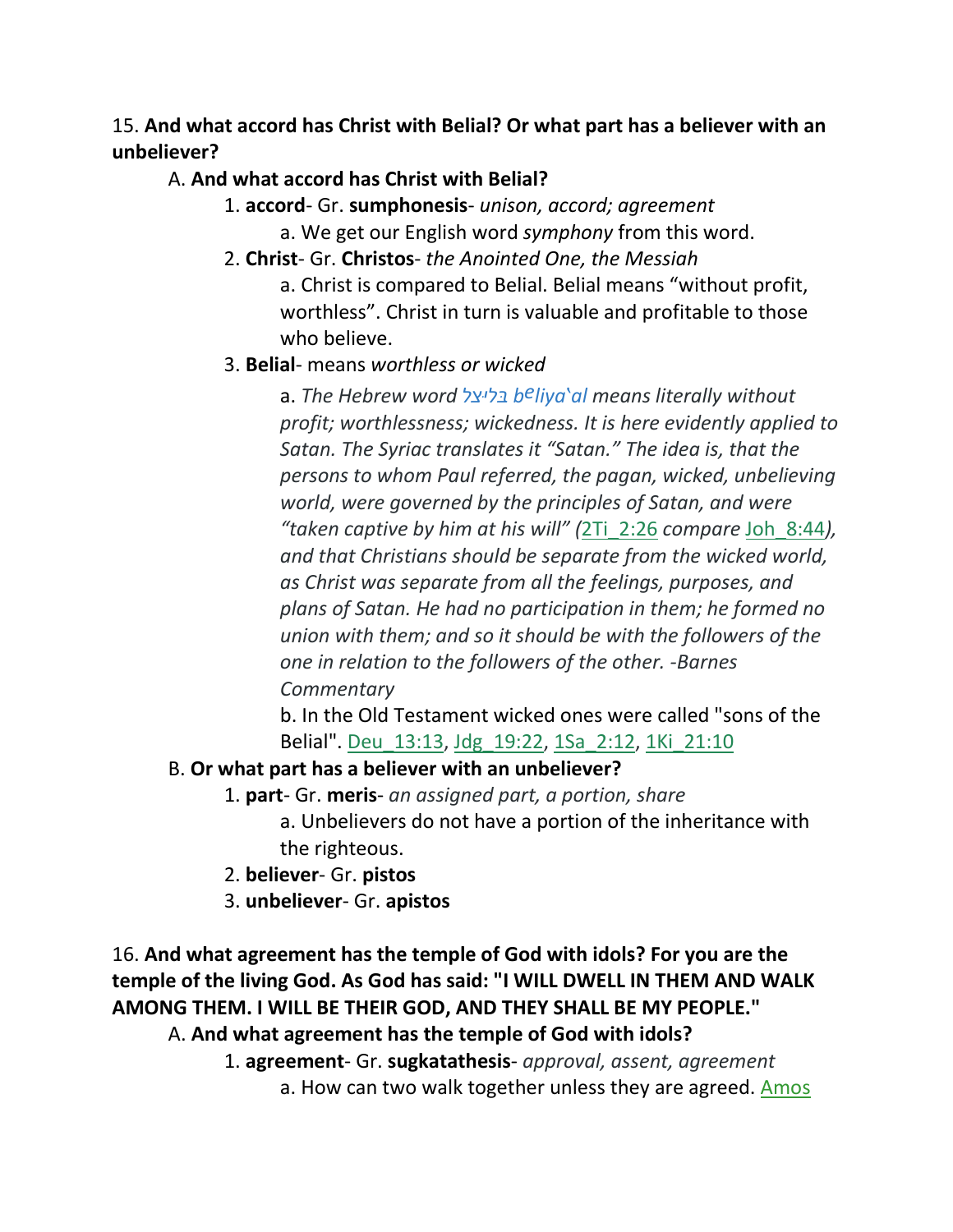15. **And what accord has Christ with Belial? Or what part has a believer with an unbeliever?** 

### A. **And what accord has Christ with Belial?**

1. **accord**- Gr. **sumphonesis**- *unison, accord; agreement*

a. We get our English word *symphony* from this word.

2. **Christ**- Gr. **Christos**- *the Anointed One, the Messiah*

a. Christ is compared to Belial. Belial means "without profit, worthless". Christ in turn is valuable and profitable to those who believe.

# 3. **Belial**- means *worthless or wicked*

a. *The Hebrew word בּליּצל beliya'al means literally without profit; worthlessness; wickedness. It is here evidently applied to Satan. The Syriac translates it "Satan." The idea is, that the persons to whom Paul referred, the pagan, wicked, unbelieving world, were governed by the principles of Satan, and were "taken captive by him at his will" (*2Ti\_2:26 *compare* Joh\_8:44*), and that Christians should be separate from the wicked world, as Christ was separate from all the feelings, purposes, and plans of Satan. He had no participation in them; he formed no union with them; and so it should be with the followers of the one in relation to the followers of the other. -Barnes Commentary*

b. In the Old Testament wicked ones were called "sons of the Belial". Deu\_13:13, Jdg\_19:22, 1Sa\_2:12, 1Ki\_21:10

# B. **Or what part has a believer with an unbeliever?**

- 1. **part** Gr. **meris** *an assigned part, a portion, share* a. Unbelievers do not have a portion of the inheritance with the righteous.
- 2. **believer** Gr. **pistos**
- 3. **unbeliever** Gr. **apistos**

16. **And what agreement has the temple of God with idols? For you are the temple of the living God. As God has said: "I WILL DWELL IN THEM AND WALK AMONG THEM. I WILL BE THEIR GOD, AND THEY SHALL BE MY PEOPLE."**  A. **And what agreement has the temple of God with idols?**

> 1. **agreement**- Gr. **sugkatathesis**- *approval, assent, agreement* a. How can two walk together unless they are agreed. Amos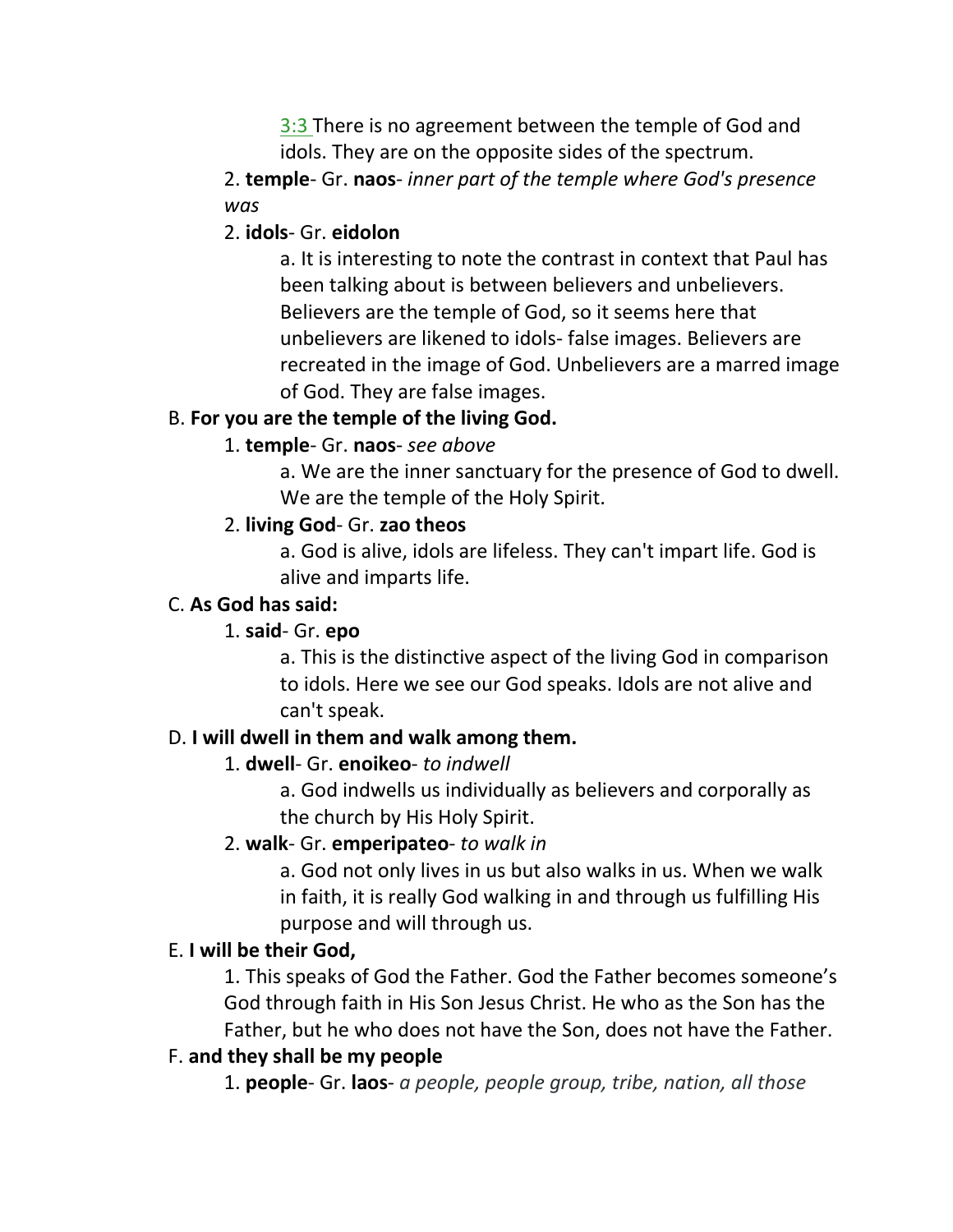3:3 There is no agreement between the temple of God and idols. They are on the opposite sides of the spectrum.

2. **temple**- Gr. **naos**- *inner part of the temple where God's presence was*

### 2. **idols**- Gr. **eidolon**

a. It is interesting to note the contrast in context that Paul has been talking about is between believers and unbelievers. Believers are the temple of God, so it seems here that unbelievers are likened to idols- false images. Believers are recreated in the image of God. Unbelievers are a marred image of God. They are false images.

### B. **For you are the temple of the living God.**

# 1. **temple**- Gr. **naos**- *see above*

a. We are the inner sanctuary for the presence of God to dwell. We are the temple of the Holy Spirit.

### 2. **living God**- Gr. **zao theos**

a. God is alive, idols are lifeless. They can't impart life. God is alive and imparts life.

### C. **As God has said:**

### 1. **said**- Gr. **epo**

a. This is the distinctive aspect of the living God in comparison to idols. Here we see our God speaks. Idols are not alive and can't speak.

# D. **I will dwell in them and walk among them.**

### 1. **dwell**- Gr. **enoikeo**- *to indwell*

a. God indwells us individually as believers and corporally as the church by His Holy Spirit.

### 2. **walk**- Gr. **emperipateo**- *to walk in*

a. God not only lives in us but also walks in us. When we walk in faith, it is really God walking in and through us fulfilling His purpose and will through us.

### E. **I will be their God,**

1. This speaks of God the Father. God the Father becomes someone's God through faith in His Son Jesus Christ. He who as the Son has the Father, but he who does not have the Son, does not have the Father.

### F. **and they shall be my people**

1. **people**- Gr. **laos**- *a people, people group, tribe, nation, all those*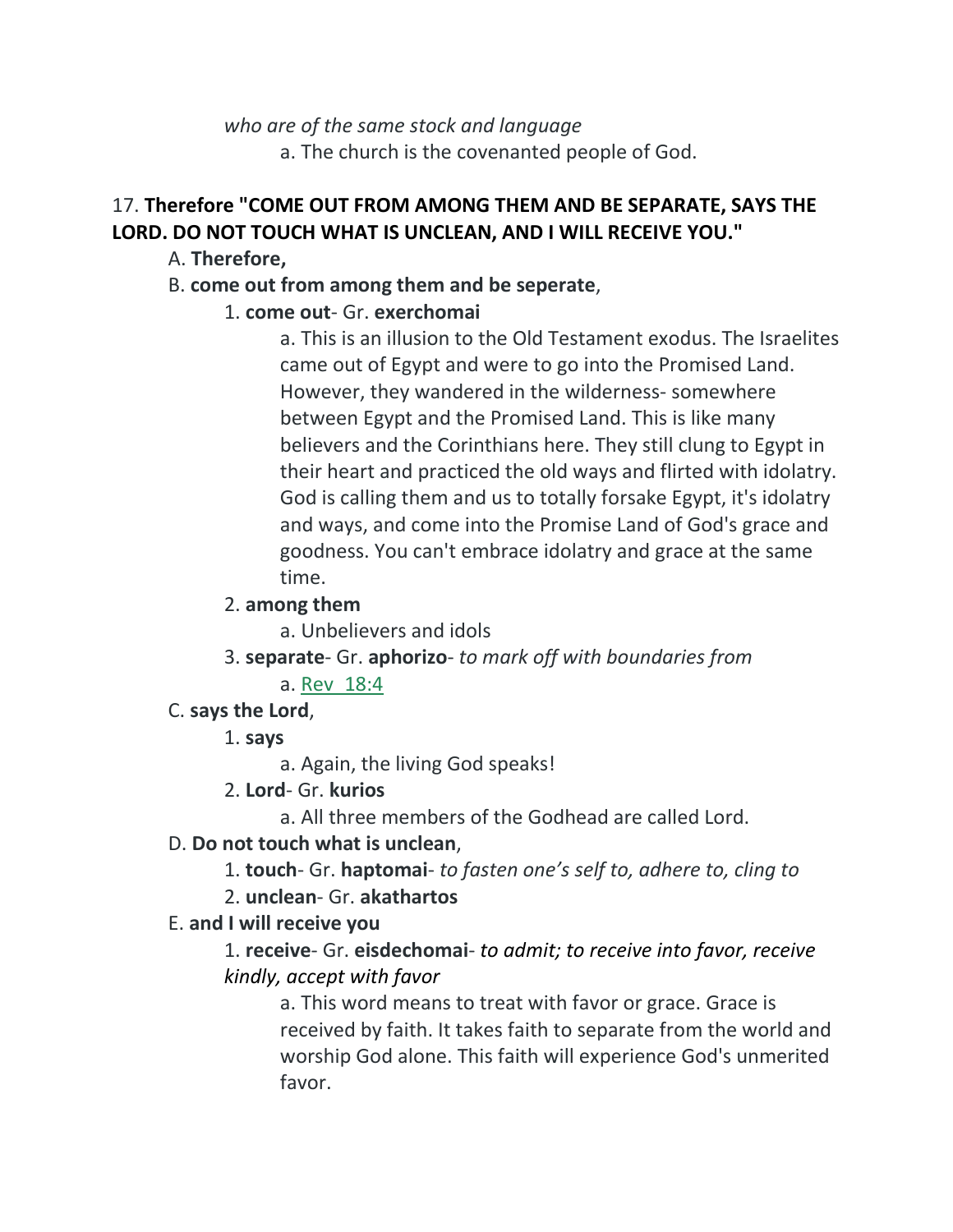*who are of the same stock and language* a. The church is the covenanted people of God.

# 17. **Therefore "COME OUT FROM AMONG THEM AND BE SEPARATE, SAYS THE LORD. DO NOT TOUCH WHAT IS UNCLEAN, AND I WILL RECEIVE YOU."**

- A. **Therefore,**
- B. **come out from among them and be seperate**,

# 1. **come out**- Gr. **exerchomai**

a. This is an illusion to the Old Testament exodus. The Israelites came out of Egypt and were to go into the Promised Land. However, they wandered in the wilderness- somewhere between Egypt and the Promised Land. This is like many believers and the Corinthians here. They still clung to Egypt in their heart and practiced the old ways and flirted with idolatry. God is calling them and us to totally forsake Egypt, it's idolatry and ways, and come into the Promise Land of God's grace and goodness. You can't embrace idolatry and grace at the same time.

## 2. **among them**

a. Unbelievers and idols

3. **separate**- Gr. **aphorizo**- *to mark off with boundaries from*

# a. Rev\_18:4

C. **says the Lord**,

# 1. **says**

a. Again, the living God speaks!

- 2. **Lord** Gr. **kurios**
	- a. All three members of the Godhead are called Lord.

# D. **Do not touch what is unclean**,

1. **touch**- Gr. **haptomai**- *to fasten one's self to, adhere to, cling to*

# 2. **unclean**- Gr. **akathartos**

# E. **and I will receive you**

1. **receive**- Gr. **eisdechomai**- *to admit; to receive into favor, receive kindly, accept with favor*

a. This word means to treat with favor or grace. Grace is received by faith. It takes faith to separate from the world and worship God alone. This faith will experience God's unmerited favor.